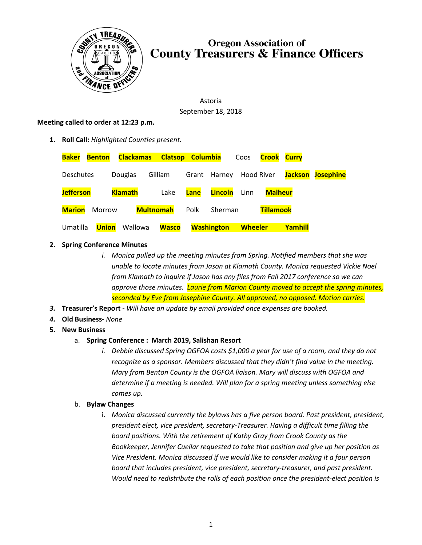

# **Oregon Association of County Treasurers & Finance Officers**

Astoria September 18, 2018

#### **Meeting called to order at 12:23 p.m.**

**1. Roll Call:** *Highlighted Counties present.*

| <b>Baker</b>     | <b>Benton</b> | Clackamas Clatsop Columbia |              |      |                         | Coos           | <b>Crook Curry</b> |         |                          |
|------------------|---------------|----------------------------|--------------|------|-------------------------|----------------|--------------------|---------|--------------------------|
| <b>Deschutes</b> |               | Douglas                    | Gilliam      |      | Grant Harney Hood River |                |                    |         | <b>Jackson Josephine</b> |
| <b>Jefferson</b> |               | <b>Klamath</b>             | Lake         | Lane | Lincoln                 | Linn           | <b>Malheur</b>     |         |                          |
| <b>Marion</b>    | Morrow        | <b>Multnomah</b>           |              | Polk | Sherman                 |                | <b>Tillamook</b>   |         |                          |
| Umatilla         | <b>Union</b>  | Wallowa                    | <b>Wasco</b> |      | <b>Washington</b>       | <b>Wheeler</b> |                    | Yamhill |                          |

## **2. Spring Conference Minutes**

- *i. Monica pulled up the meeting minutes from Spring. Notified members that she was unable to locate minutes from Jason at Klamath County. Monica requested Vickie Noel from Klamath to inquire if Jason has any files from Fall 2017 conference so we can approve those minutes. Laurie from Marion County moved to accept the spring minutes, seconded by Eve from Josephine County. All approved, no opposed. Motion carries.*
- *3.* **Treasurer's Report -** *Will have an update by email provided once expenses are booked.*
- *4.* **Old Business-** *None*
- **5. New Business**
	- a. **Spring Conference : March 2019, Salishan Resort**
		- *i. Debbie discussed Spring OGFOA costs \$1,000 a year for use of a room, and they do not recognize as a sponsor. Members discussed that they didn't find value in the meeting. Mary from Benton County is the OGFOA liaison. Mary will discuss with OGFOA and determine if a meeting is needed. Will plan for a spring meeting unless something else comes up.*

## b. **Bylaw Changes**

i. *Monica discussed currently the bylaws has a five person board. Past president, president, president elect, vice president, secretary-Treasurer. Having a difficult time filling the board positions. With the retirement of Kathy Gray from Crook County as the Bookkeeper, Jennifer Cuellar requested to take that position and give up her position as Vice President. Monica discussed if we would like to consider making it a four person board that includes president, vice president, secretary-treasurer, and past president. Would need to redistribute the rolls of each position once the president-elect position is*